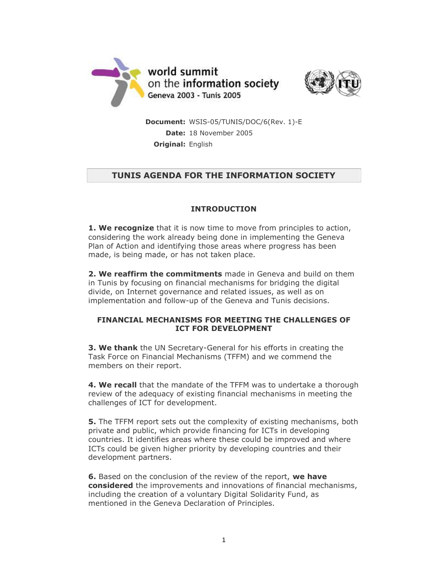



**Document:** WSIS-05/TUNIS/DOC/6(Rev. 1)-E **Date:** 18 November 2005 **Original:** English

# **TUNIS AGENDA FOR THE INFORMATION SOCIETY**

# **INTRODUCTION**

**1. We recognize** that it is now time to move from principles to action, considering the work already being done in implementing the Geneva Plan of Action and identifying those areas where progress has been made, is being made, or has not taken place.

**2. We reaffirm the commitments** made in Geneva and build on them in Tunis by focusing on financial mechanisms for bridging the digital divide, on Internet governance and related issues, as well as on implementation and follow-up of the Geneva and Tunis decisions.

### **FINANCIAL MECHANISMS FOR MEETING THE CHALLENGES OF ICT FOR DEVELOPMENT**

**3. We thank** the UN Secretary-General for his efforts in creating the Task Force on Financial Mechanisms (TFFM) and we commend the members on their report.

**4. We recall** that the mandate of the TFFM was to undertake a thorough review of the adequacy of existing financial mechanisms in meeting the challenges of ICT for development.

**5.** The TFFM report sets out the complexity of existing mechanisms, both private and public, which provide financing for ICTs in developing countries. It identifies areas where these could be improved and where ICTs could be given higher priority by developing countries and their development partners.

**6.** Based on the conclusion of the review of the report, **we have considered** the improvements and innovations of financial mechanisms, including the creation of a voluntary Digital Solidarity Fund, as mentioned in the Geneva Declaration of Principles.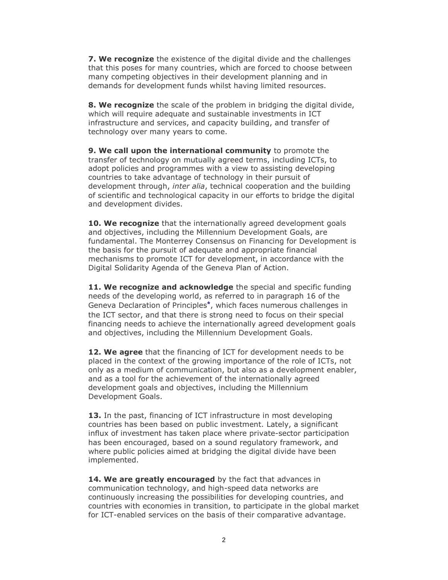**7. We recognize** the existence of the digital divide and the challenges that this poses for many countries, which are forced to choose between many competing objectives in their development planning and in demands for development funds whilst having limited resources.

**8. We recognize** the scale of the problem in bridging the digital divide, which will require adequate and sustainable investments in ICT infrastructure and services, and capacity building, and transfer of technology over many years to come.

**9. We call upon the international community** to promote the transfer of technology on mutually agreed terms, including ICTs, to adopt policies and programmes with a view to assisting developing countries to take advantage of technology in their pursuit of development through, *inter alia*, technical cooperation and the building of scientific and technological capacity in our efforts to bridge the digital and development divides.

**10. We recognize** that the internationally agreed development goals and objectives, including the Millennium Development Goals, are fundamental. The Monterrey Consensus on Financing for Development is the basis for the pursuit of adequate and appropriate financial mechanisms to promote ICT for development, in accordance with the Digital Solidarity Agenda of the Geneva Plan of Action.

**11. We recognize and acknowledge** the special and specific funding needs of the developing world, as referred to in paragraph 16 of the Geneva Declaration of Principles[\\*](http://www.itu.int/wsis/docs2/tunis/off/6rev1.html#note), which faces numerous challenges in the ICT sector, and that there is strong need to focus on their special financing needs to achieve the internationally agreed development goals and objectives, including the Millennium Development Goals.

**12. We agree** that the financing of ICT for development needs to be placed in the context of the growing importance of the role of ICTs, not only as a medium of communication, but also as a development enabler, and as a tool for the achievement of the internationally agreed development goals and objectives, including the Millennium Development Goals.

**13.** In the past, financing of ICT infrastructure in most developing countries has been based on public investment. Lately, a significant influx of investment has taken place where private-sector participation has been encouraged, based on a sound regulatory framework, and where public policies aimed at bridging the digital divide have been implemented.

14. We are greatly encouraged by the fact that advances in communication technology, and high-speed data networks are continuously increasing the possibilities for developing countries, and countries with economies in transition, to participate in the global market for ICT-enabled services on the basis of their comparative advantage.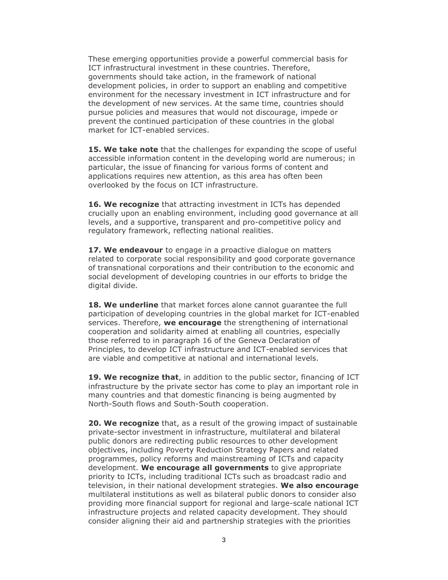These emerging opportunities provide a powerful commercial basis for ICT infrastructural investment in these countries. Therefore, governments should take action, in the framework of national development policies, in order to support an enabling and competitive environment for the necessary investment in ICT infrastructure and for the development of new services. At the same time, countries should pursue policies and measures that would not discourage, impede or prevent the continued participation of these countries in the global market for ICT-enabled services.

**15. We take note** that the challenges for expanding the scope of useful accessible information content in the developing world are numerous; in particular, the issue of financing for various forms of content and applications requires new attention, as this area has often been overlooked by the focus on ICT infrastructure.

**16. We recognize** that attracting investment in ICTs has depended crucially upon an enabling environment, including good governance at all levels, and a supportive, transparent and pro-competitive policy and regulatory framework, reflecting national realities.

17. We endeavour to engage in a proactive dialogue on matters related to corporate social responsibility and good corporate governance of transnational corporations and their contribution to the economic and social development of developing countries in our efforts to bridge the digital divide.

**18. We underline** that market forces alone cannot quarantee the full participation of developing countries in the global market for ICT-enabled services. Therefore, **we encourage** the strengthening of international cooperation and solidarity aimed at enabling all countries, especially those referred to in paragraph 16 of the Geneva Declaration of Principles, to develop ICT infrastructure and ICT-enabled services that are viable and competitive at national and international levels.

**19. We recognize that**, in addition to the public sector, financing of ICT infrastructure by the private sector has come to play an important role in many countries and that domestic financing is being augmented by North-South flows and South-South cooperation.

**20. We recognize** that, as a result of the growing impact of sustainable private-sector investment in infrastructure, multilateral and bilateral public donors are redirecting public resources to other development objectives, including Poverty Reduction Strategy Papers and related programmes, policy reforms and mainstreaming of ICTs and capacity development. **We encourage all governments** to give appropriate priority to ICTs, including traditional ICTs such as broadcast radio and television, in their national development strategies. **We also encourage** multilateral institutions as well as bilateral public donors to consider also providing more financial support for regional and large-scale national ICT infrastructure projects and related capacity development. They should consider aligning their aid and partnership strategies with the priorities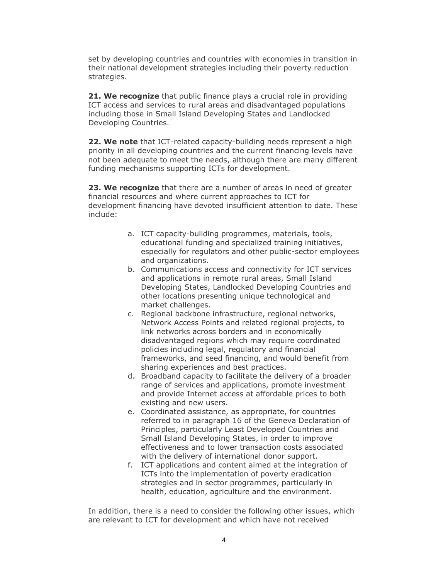set by developing countries and countries with economies in transition in their national development strategies including their poverty reduction strategies.

**21. We recognize** that public finance plays a crucial role in providing ICT access and services to rural areas and disadvantaged populations including those in Small Island Developing States and Landlocked Developing Countries.

**22. We note** that ICT-related capacity-building needs represent a high priority in all developing countries and the current financing levels have not been adequate to meet the needs, although there are many different funding mechanisms supporting ICTs for development.

**23. We recognize** that there are a number of areas in need of greater financial resources and where current approaches to ICT for development financing have devoted insufficient attention to date. These include:

- a. ICT capacity-building programmes, materials, tools, educational funding and specialized training initiatives, especially for regulators and other public-sector employees and organizations.
- b. Communications access and connectivity for ICT services and applications in remote rural areas, Small Island Developing States, Landlocked Developing Countries and other locations presenting unique technological and market challenges.
- c. Regional backbone infrastructure, regional networks, Network Access Points and related regional projects, to link networks across borders and in economically disadvantaged regions which may require coordinated policies including legal, regulatory and financial frameworks, and seed financing, and would benefit from sharing experiences and best practices.
- d. Broadband capacity to facilitate the delivery of a broader range of services and applications, promote investment and provide Internet access at affordable prices to both existing and new users.
- e. Coordinated assistance, as appropriate, for countries referred to in paragraph 16 of the Geneva Declaration of Principles, particularly Least Developed Countries and Small Island Developing States, in order to improve effectiveness and to lower transaction costs associated with the delivery of international donor support.
- f. ICT applications and content aimed at the integration of ICTs into the implementation of poverty eradication strategies and in sector programmes, particularly in health, education, agriculture and the environment.

In addition, there is a need to consider the following other issues, which are relevant to ICT for development and which have not received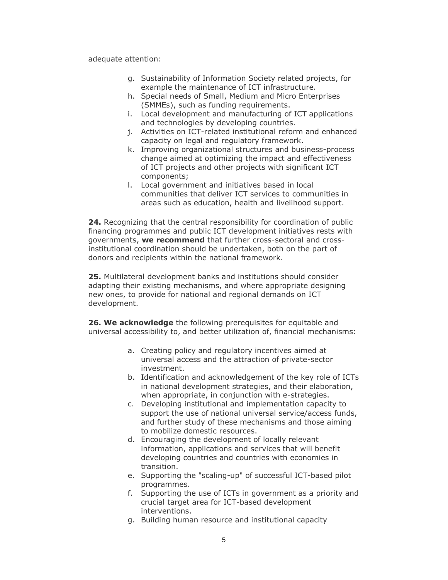adequate attention:

- g. Sustainability of Information Society related projects, for example the maintenance of ICT infrastructure.
- h. Special needs of Small, Medium and Micro Enterprises (SMMEs), such as funding requirements.
- i. Local development and manufacturing of ICT applications and technologies by developing countries.
- j. Activities on ICT-related institutional reform and enhanced capacity on legal and regulatory framework.
- k. Improving organizational structures and business-process change aimed at optimizing the impact and effectiveness of ICT projects and other projects with significant ICT components;
- l. Local government and initiatives based in local communities that deliver ICT services to communities in areas such as education, health and livelihood support.

**24.** Recognizing that the central responsibility for coordination of public financing programmes and public ICT development initiatives rests with governments, **we recommend** that further cross-sectoral and crossinstitutional coordination should be undertaken, both on the part of donors and recipients within the national framework.

**25.** Multilateral development banks and institutions should consider adapting their existing mechanisms, and where appropriate designing new ones, to provide for national and regional demands on ICT development.

**26. We acknowledge** the following prerequisites for equitable and universal accessibility to, and better utilization of, financial mechanisms:

- a. Creating policy and regulatory incentives aimed at universal access and the attraction of private-sector investment.
- b. Identification and acknowledgement of the key role of ICTs in national development strategies, and their elaboration, when appropriate, in conjunction with e-strategies.
- c. Developing institutional and implementation capacity to support the use of national universal service/access funds, and further study of these mechanisms and those aiming to mobilize domestic resources.
- d. Encouraging the development of locally relevant information, applications and services that will benefit developing countries and countries with economies in transition.
- e. Supporting the "scaling-up" of successful ICT-based pilot programmes.
- f. Supporting the use of ICTs in government as a priority and crucial target area for ICT-based development interventions.
- g. Building human resource and institutional capacity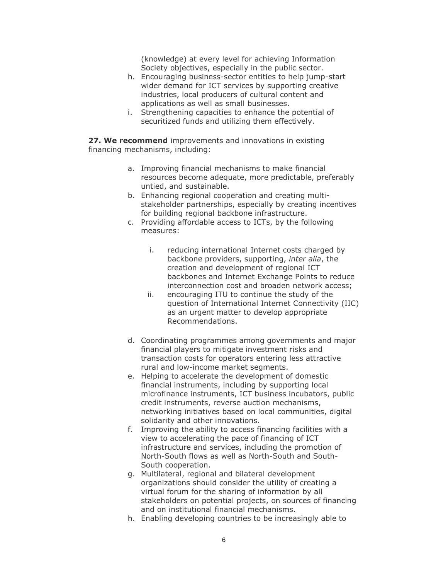(knowledge) at every level for achieving Information Society objectives, especially in the public sector.

- h. Encouraging business-sector entities to help jump-start wider demand for ICT services by supporting creative industries, local producers of cultural content and applications as well as small businesses.
- i. Strengthening capacities to enhance the potential of securitized funds and utilizing them effectively.

**27. We recommend** improvements and innovations in existing financing mechanisms, including:

- a. Improving financial mechanisms to make financial resources become adequate, more predictable, preferably untied, and sustainable.
- b. Enhancing regional cooperation and creating multistakeholder partnerships, especially by creating incentives for building regional backbone infrastructure.
- c. Providing affordable access to ICTs, by the following measures:
	- i. reducing international Internet costs charged by backbone providers, supporting, *inter alia*, the creation and development of regional ICT backbones and Internet Exchange Points to reduce interconnection cost and broaden network access;
	- ii. encouraging ITU to continue the study of the question of International Internet Connectivity (IIC) as an urgent matter to develop appropriate Recommendations.
- d. Coordinating programmes among governments and major financial players to mitigate investment risks and transaction costs for operators entering less attractive rural and low-income market segments.
- e. Helping to accelerate the development of domestic financial instruments, including by supporting local microfinance instruments, ICT business incubators, public credit instruments, reverse auction mechanisms, networking initiatives based on local communities, digital solidarity and other innovations.
- f. Improving the ability to access financing facilities with a view to accelerating the pace of financing of ICT infrastructure and services, including the promotion of North-South flows as well as North-South and South-South cooperation.
- g. Multilateral, regional and bilateral development organizations should consider the utility of creating a virtual forum for the sharing of information by all stakeholders on potential projects, on sources of financing and on institutional financial mechanisms.
- h. Enabling developing countries to be increasingly able to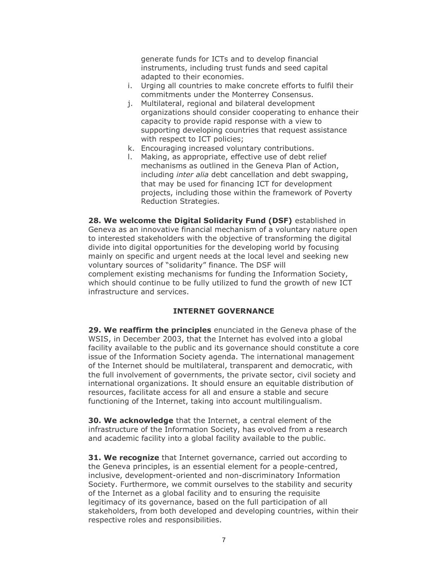generate funds for ICTs and to develop financial instruments, including trust funds and seed capital adapted to their economies.

- i. Urging all countries to make concrete efforts to fulfil their commitments under the Monterrey Consensus.
- j. Multilateral, regional and bilateral development organizations should consider cooperating to enhance their capacity to provide rapid response with a view to supporting developing countries that request assistance with respect to ICT policies;
- k. Encouraging increased voluntary contributions.
- l. Making, as appropriate, effective use of debt relief mechanisms as outlined in the Geneva Plan of Action, including *inter alia* debt cancellation and debt swapping, that may be used for financing ICT for development projects, including those within the framework of Poverty Reduction Strategies.

**28. We welcome the Digital Solidarity Fund (DSF)** established in Geneva as an innovative financial mechanism of a voluntary nature open to interested stakeholders with the objective of transforming the digital divide into digital opportunities for the developing world by focusing mainly on specific and urgent needs at the local level and seeking new voluntary sources of "solidarity" finance. The DSF will complement existing mechanisms for funding the Information Society, which should continue to be fully utilized to fund the growth of new ICT infrastructure and services.

# **INTERNET GOVERNANCE**

**29. We reaffirm the principles** enunciated in the Geneva phase of the WSIS, in December 2003, that the Internet has evolved into a global facility available to the public and its governance should constitute a core issue of the Information Society agenda. The international management of the Internet should be multilateral, transparent and democratic, with the full involvement of governments, the private sector, civil society and international organizations. It should ensure an equitable distribution of resources, facilitate access for all and ensure a stable and secure functioning of the Internet, taking into account multilingualism.

**30. We acknowledge** that the Internet, a central element of the infrastructure of the Information Society, has evolved from a research and academic facility into a global facility available to the public.

**31. We recognize** that Internet governance, carried out according to the Geneva principles, is an essential element for a people-centred, inclusive, development-oriented and non-discriminatory Information Society. Furthermore, we commit ourselves to the stability and security of the Internet as a global facility and to ensuring the requisite legitimacy of its governance, based on the full participation of all stakeholders, from both developed and developing countries, within their respective roles and responsibilities.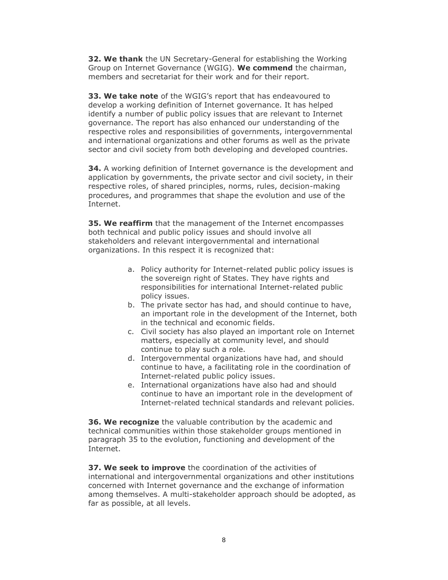**32. We thank** the UN Secretary-General for establishing the Working Group on Internet Governance (WGIG). **We commend** the chairman, members and secretariat for their work and for their report.

**33. We take note** of the WGIG's report that has endeavoured to develop a working definition of Internet governance. It has helped identify a number of public policy issues that are relevant to Internet governance. The report has also enhanced our understanding of the respective roles and responsibilities of governments, intergovernmental and international organizations and other forums as well as the private sector and civil society from both developing and developed countries.

**34.** A working definition of Internet governance is the development and application by governments, the private sector and civil society, in their respective roles, of shared principles, norms, rules, decision-making procedures, and programmes that shape the evolution and use of the Internet.

**35. We reaffirm** that the management of the Internet encompasses both technical and public policy issues and should involve all stakeholders and relevant intergovernmental and international organizations. In this respect it is recognized that:

- a. Policy authority for Internet-related public policy issues is the sovereign right of States. They have rights and responsibilities for international Internet-related public policy issues.
- b. The private sector has had, and should continue to have, an important role in the development of the Internet, both in the technical and economic fields.
- c. Civil society has also played an important role on Internet matters, especially at community level, and should continue to play such a role.
- d. Intergovernmental organizations have had, and should continue to have, a facilitating role in the coordination of Internet-related public policy issues.
- e. International organizations have also had and should continue to have an important role in the development of Internet-related technical standards and relevant policies.

**36. We recognize** the valuable contribution by the academic and technical communities within those stakeholder groups mentioned in paragraph 35 to the evolution, functioning and development of the Internet.

**37. We seek to improve** the coordination of the activities of international and intergovernmental organizations and other institutions concerned with Internet governance and the exchange of information among themselves. A multi-stakeholder approach should be adopted, as far as possible, at all levels.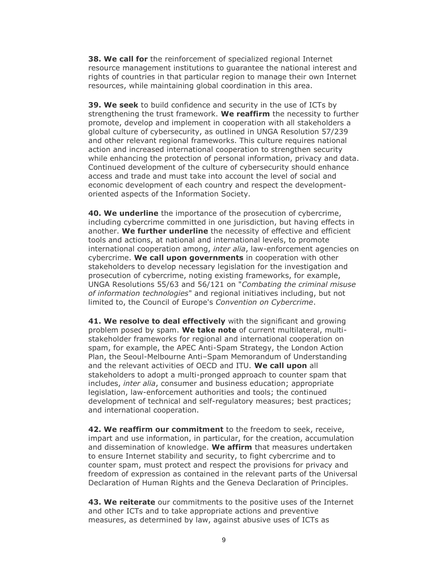**38. We call for** the reinforcement of specialized regional Internet resource management institutions to guarantee the national interest and rights of countries in that particular region to manage their own Internet resources, while maintaining global coordination in this area.

**39. We seek** to build confidence and security in the use of ICTs by strengthening the trust framework. **We reaffirm** the necessity to further promote, develop and implement in cooperation with all stakeholders a global culture of cybersecurity, as outlined in UNGA Resolution 57/239 and other relevant regional frameworks. This culture requires national action and increased international cooperation to strengthen security while enhancing the protection of personal information, privacy and data. Continued development of the culture of cybersecurity should enhance access and trade and must take into account the level of social and economic development of each country and respect the developmentoriented aspects of the Information Society.

**40. We underline** the importance of the prosecution of cybercrime, including cybercrime committed in one jurisdiction, but having effects in another. **We further underline** the necessity of effective and efficient tools and actions, at national and international levels, to promote international cooperation among, *inter alia*, law-enforcement agencies on cybercrime. **We call upon governments** in cooperation with other stakeholders to develop necessary legislation for the investigation and prosecution of cybercrime, noting existing frameworks, for example, UNGA Resolutions 55/63 and 56/121 on "*Combating the criminal misuse of information technologies*" and regional initiatives including, but not limited to, the Council of Europe's *Convention on Cybercrime*.

**41. We resolve to deal effectively** with the significant and growing problem posed by spam. **We take note** of current multilateral, multistakeholder frameworks for regional and international cooperation on spam, for example, the APEC Anti-Spam Strategy, the London Action Plan, the Seoul-Melbourne Anti–Spam Memorandum of Understanding and the relevant activities of OECD and ITU. **We call upon** all stakeholders to adopt a multi-pronged approach to counter spam that includes, *inter alia*, consumer and business education; appropriate legislation, law-enforcement authorities and tools; the continued development of technical and self-regulatory measures; best practices; and international cooperation.

**42. We reaffirm our commitment** to the freedom to seek, receive, impart and use information, in particular, for the creation, accumulation and dissemination of knowledge. **We affirm** that measures undertaken to ensure Internet stability and security, to fight cybercrime and to counter spam, must protect and respect the provisions for privacy and freedom of expression as contained in the relevant parts of the Universal Declaration of Human Rights and the Geneva Declaration of Principles.

**43. We reiterate** our commitments to the positive uses of the Internet and other ICTs and to take appropriate actions and preventive measures, as determined by law, against abusive uses of ICTs as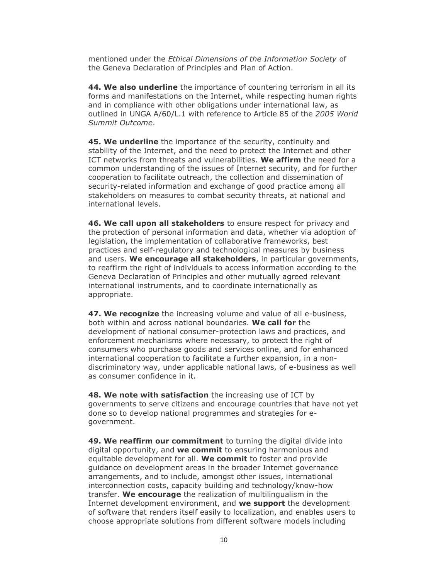mentioned under the *Ethical Dimensions of the Information Society* of the Geneva Declaration of Principles and Plan of Action.

**44. We also underline** the importance of countering terrorism in all its forms and manifestations on the Internet, while respecting human rights and in compliance with other obligations under international law, as outlined in UNGA A/60/L.1 with reference to Article 85 of the *2005 World Summit Outcome*.

**45. We underline** the importance of the security, continuity and stability of the Internet, and the need to protect the Internet and other ICT networks from threats and vulnerabilities. **We affirm** the need for a common understanding of the issues of Internet security, and for further cooperation to facilitate outreach, the collection and dissemination of security-related information and exchange of good practice among all stakeholders on measures to combat security threats, at national and international levels.

**46. We call upon all stakeholders** to ensure respect for privacy and the protection of personal information and data, whether via adoption of legislation, the implementation of collaborative frameworks, best practices and self-regulatory and technological measures by business and users. **We encourage all stakeholders**, in particular governments, to reaffirm the right of individuals to access information according to the Geneva Declaration of Principles and other mutually agreed relevant international instruments, and to coordinate internationally as appropriate.

**47. We recognize** the increasing volume and value of all e-business, both within and across national boundaries. **We call for** the development of national consumer-protection laws and practices, and enforcement mechanisms where necessary, to protect the right of consumers who purchase goods and services online, and for enhanced international cooperation to facilitate a further expansion, in a nondiscriminatory way, under applicable national laws, of e-business as well as consumer confidence in it.

**48. We note with satisfaction** the increasing use of ICT by governments to serve citizens and encourage countries that have not yet done so to develop national programmes and strategies for egovernment.

**49. We reaffirm our commitment** to turning the digital divide into digital opportunity, and **we commit** to ensuring harmonious and equitable development for all. **We commit** to foster and provide guidance on development areas in the broader Internet governance arrangements, and to include, amongst other issues, international interconnection costs, capacity building and technology/know-how transfer. **We encourage** the realization of multilingualism in the Internet development environment, and **we support** the development of software that renders itself easily to localization, and enables users to choose appropriate solutions from different software models including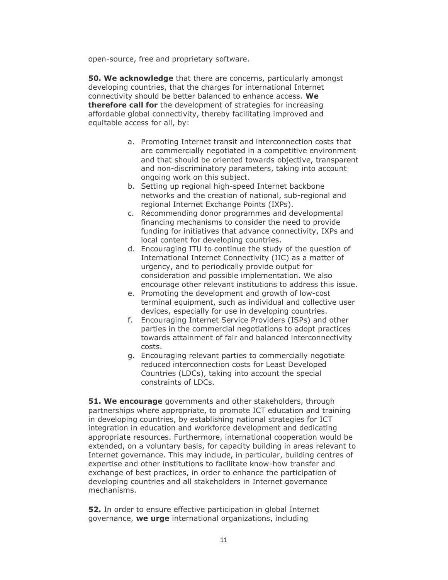open-source, free and proprietary software.

**50. We acknowledge** that there are concerns, particularly amongst developing countries, that the charges for international Internet connectivity should be better balanced to enhance access. **We therefore call for** the development of strategies for increasing affordable global connectivity, thereby facilitating improved and equitable access for all, by:

- a. Promoting Internet transit and interconnection costs that are commercially negotiated in a competitive environment and that should be oriented towards objective, transparent and non-discriminatory parameters, taking into account ongoing work on this subject.
- b. Setting up regional high-speed Internet backbone networks and the creation of national, sub-regional and regional Internet Exchange Points (IXPs).
- c. Recommending donor programmes and developmental financing mechanisms to consider the need to provide funding for initiatives that advance connectivity, IXPs and local content for developing countries.
- d. Encouraging ITU to continue the study of the question of International Internet Connectivity (IIC) as a matter of urgency, and to periodically provide output for consideration and possible implementation. We also encourage other relevant institutions to address this issue.
- e. Promoting the development and growth of low-cost terminal equipment, such as individual and collective user devices, especially for use in developing countries.
- f. Encouraging Internet Service Providers (ISPs) and other parties in the commercial negotiations to adopt practices towards attainment of fair and balanced interconnectivity costs.
- g. Encouraging relevant parties to commercially negotiate reduced interconnection costs for Least Developed Countries (LDCs), taking into account the special constraints of LDCs.

**51. We encourage** governments and other stakeholders, through partnerships where appropriate, to promote ICT education and training in developing countries, by establishing national strategies for ICT integration in education and workforce development and dedicating appropriate resources. Furthermore, international cooperation would be extended, on a voluntary basis, for capacity building in areas relevant to Internet governance. This may include, in particular, building centres of expertise and other institutions to facilitate know-how transfer and exchange of best practices, in order to enhance the participation of developing countries and all stakeholders in Internet governance mechanisms.

**52.** In order to ensure effective participation in global Internet governance, **we urge** international organizations, including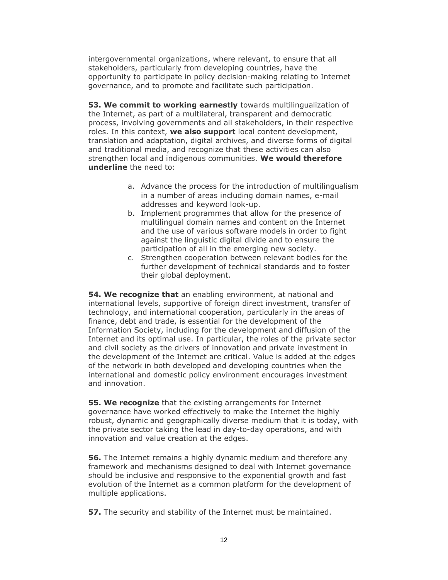intergovernmental organizations, where relevant, to ensure that all stakeholders, particularly from developing countries, have the opportunity to participate in policy decision-making relating to Internet governance, and to promote and facilitate such participation.

**53. We commit to working earnestly** towards multilingualization of the Internet, as part of a multilateral, transparent and democratic process, involving governments and all stakeholders, in their respective roles. In this context, **we also support** local content development, translation and adaptation, digital archives, and diverse forms of digital and traditional media, and recognize that these activities can also strengthen local and indigenous communities. **We would therefore underline** the need to:

- a. Advance the process for the introduction of multilingualism in a number of areas including domain names, e-mail addresses and keyword look-up.
- b. Implement programmes that allow for the presence of multilingual domain names and content on the Internet and the use of various software models in order to fight against the linguistic digital divide and to ensure the participation of all in the emerging new society.
- c. Strengthen cooperation between relevant bodies for the further development of technical standards and to foster their global deployment.

**54. We recognize that** an enabling environment, at national and international levels, supportive of foreign direct investment, transfer of technology, and international cooperation, particularly in the areas of finance, debt and trade, is essential for the development of the Information Society, including for the development and diffusion of the Internet and its optimal use. In particular, the roles of the private sector and civil society as the drivers of innovation and private investment in the development of the Internet are critical. Value is added at the edges of the network in both developed and developing countries when the international and domestic policy environment encourages investment and innovation.

**55. We recognize** that the existing arrangements for Internet governance have worked effectively to make the Internet the highly robust, dynamic and geographically diverse medium that it is today, with the private sector taking the lead in day-to-day operations, and with innovation and value creation at the edges.

**56.** The Internet remains a highly dynamic medium and therefore any framework and mechanisms designed to deal with Internet governance should be inclusive and responsive to the exponential growth and fast evolution of the Internet as a common platform for the development of multiple applications.

**57.** The security and stability of the Internet must be maintained.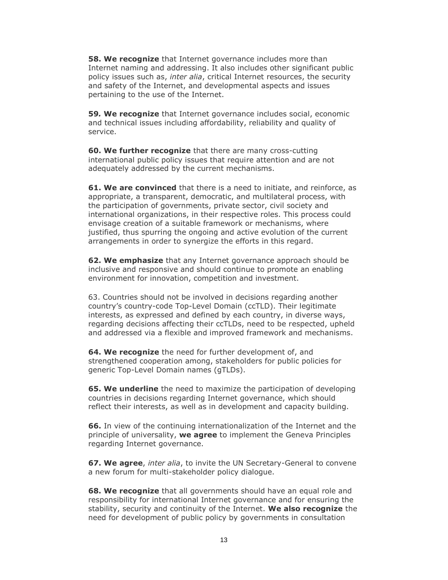**58. We recognize** that Internet governance includes more than Internet naming and addressing. It also includes other significant public policy issues such as, *inter alia*, critical Internet resources, the security and safety of the Internet, and developmental aspects and issues pertaining to the use of the Internet.

**59***.* **We recognize** that Internet governance includes social, economic and technical issues including affordability, reliability and quality of service.

**60. We further recognize** that there are many cross-cutting international public policy issues that require attention and are not adequately addressed by the current mechanisms.

**61. We are convinced** that there is a need to initiate, and reinforce, as appropriate, a transparent, democratic, and multilateral process, with the participation of governments, private sector, civil society and international organizations, in their respective roles. This process could envisage creation of a suitable framework or mechanisms, where justified, thus spurring the ongoing and active evolution of the current arrangements in order to synergize the efforts in this regard.

**62. We emphasize** that any Internet governance approach should be inclusive and responsive and should continue to promote an enabling environment for innovation, competition and investment.

63. Countries should not be involved in decisions regarding another country's country-code Top-Level Domain (ccTLD). Their legitimate interests, as expressed and defined by each country, in diverse ways, regarding decisions affecting their ccTLDs, need to be respected, upheld and addressed via a flexible and improved framework and mechanisms.

**64. We recognize** the need for further development of, and strengthened cooperation among, stakeholders for public policies for generic Top-Level Domain names (gTLDs).

**65. We underline** the need to maximize the participation of developing countries in decisions regarding Internet governance, which should reflect their interests, as well as in development and capacity building.

**66.** In view of the continuing internationalization of the Internet and the principle of universality, **we agree** to implement the Geneva Principles regarding Internet governance.

**67. We agree**, *inter alia*, to invite the UN Secretary-General to convene a new forum for multi-stakeholder policy dialogue.

**68. We recognize** that all governments should have an equal role and responsibility for international Internet governance and for ensuring the stability, security and continuity of the Internet. **We also recognize** the need for development of public policy by governments in consultation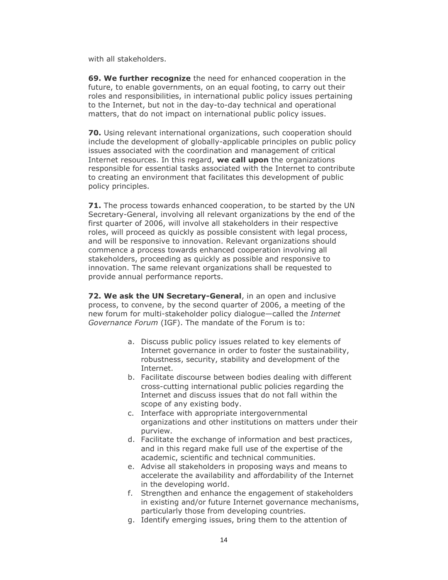with all stakeholders.

**69. We further recognize** the need for enhanced cooperation in the future, to enable governments, on an equal footing, to carry out their roles and responsibilities, in international public policy issues pertaining to the Internet, but not in the day-to-day technical and operational matters, that do not impact on international public policy issues.

**70.** Using relevant international organizations, such cooperation should include the development of globally-applicable principles on public policy issues associated with the coordination and management of critical Internet resources. In this regard, **we call upon** the organizations responsible for essential tasks associated with the Internet to contribute to creating an environment that facilitates this development of public policy principles.

**71.** The process towards enhanced cooperation, to be started by the UN Secretary-General, involving all relevant organizations by the end of the first quarter of 2006, will involve all stakeholders in their respective roles, will proceed as quickly as possible consistent with legal process, and will be responsive to innovation. Relevant organizations should commence a process towards enhanced cooperation involving all stakeholders, proceeding as quickly as possible and responsive to innovation. The same relevant organizations shall be requested to provide annual performance reports.

**72. We ask the UN Secretary-General**, in an open and inclusive process, to convene, by the second quarter of 2006, a meeting of the new forum for multi-stakeholder policy dialogue—called the *Internet Governance Forum* (IGF). The mandate of the Forum is to:

- a. Discuss public policy issues related to key elements of Internet governance in order to foster the sustainability, robustness, security, stability and development of the Internet.
- b. Facilitate discourse between bodies dealing with different cross-cutting international public policies regarding the Internet and discuss issues that do not fall within the scope of any existing body.
- c. Interface with appropriate intergovernmental organizations and other institutions on matters under their purview.
- d. Facilitate the exchange of information and best practices, and in this regard make full use of the expertise of the academic, scientific and technical communities.
- e. Advise all stakeholders in proposing ways and means to accelerate the availability and affordability of the Internet in the developing world.
- f. Strengthen and enhance the engagement of stakeholders in existing and/or future Internet governance mechanisms, particularly those from developing countries.
- g. Identify emerging issues, bring them to the attention of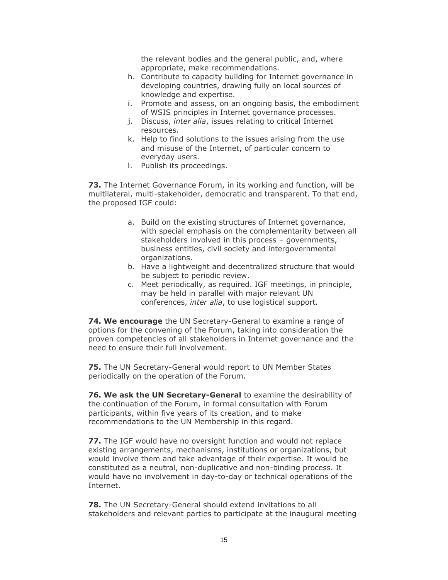the relevant bodies and the general public, and, where appropriate, make recommendations.

- h. Contribute to capacity building for Internet governance in developing countries, drawing fully on local sources of knowledge and expertise.
- i. Promote and assess, on an ongoing basis, the embodiment of WSIS principles in Internet governance processes.
- j. Discuss, *inter alia*, issues relating to critical Internet resources.
- k. Help to find solutions to the issues arising from the use and misuse of the Internet, of particular concern to everyday users.
- l. Publish its proceedings.

**73.** The Internet Governance Forum, in its working and function, will be multilateral, multi-stakeholder, democratic and transparent. To that end, the proposed IGF could:

- a. Build on the existing structures of Internet governance, with special emphasis on the complementarity between all stakeholders involved in this process – governments, business entities, civil society and intergovernmental organizations.
- b. Have a lightweight and decentralized structure that would be subject to periodic review.
- c. Meet periodically, as required. IGF meetings, in principle, may be held in parallel with major relevant UN conferences, *inter alia*, to use logistical support.

**74. We encourage** the UN Secretary-General to examine a range of options for the convening of the Forum, taking into consideration the proven competencies of all stakeholders in Internet governance and the need to ensure their full involvement.

**75.** The UN Secretary-General would report to UN Member States periodically on the operation of the Forum.

**76. We ask the UN Secretary-General** to examine the desirability of the continuation of the Forum, in formal consultation with Forum participants, within five years of its creation, and to make recommendations to the UN Membership in this regard.

**77.** The IGF would have no oversight function and would not replace existing arrangements, mechanisms, institutions or organizations, but would involve them and take advantage of their expertise. It would be constituted as a neutral, non-duplicative and non-binding process. It would have no involvement in day-to-day or technical operations of the Internet.

**78.** The UN Secretary-General should extend invitations to all stakeholders and relevant parties to participate at the inaugural meeting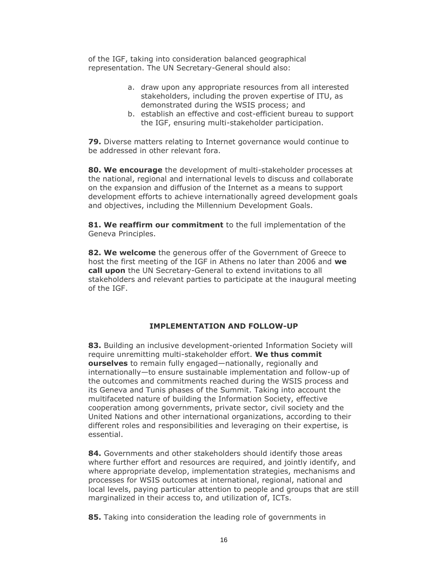of the IGF, taking into consideration balanced geographical representation. The UN Secretary-General should also:

- a. draw upon any appropriate resources from all interested stakeholders, including the proven expertise of ITU, as demonstrated during the WSIS process; and
- b. establish an effective and cost-efficient bureau to support the IGF, ensuring multi-stakeholder participation.

**79.** Diverse matters relating to Internet governance would continue to be addressed in other relevant fora.

**80. We encourage** the development of multi-stakeholder processes at the national, regional and international levels to discuss and collaborate on the expansion and diffusion of the Internet as a means to support development efforts to achieve internationally agreed development goals and objectives, including the Millennium Development Goals.

**81. We reaffirm our commitment** to the full implementation of the Geneva Principles.

**82. We welcome** the generous offer of the Government of Greece to host the first meeting of the IGF in Athens no later than 2006 and **we call upon** the UN Secretary-General to extend invitations to all stakeholders and relevant parties to participate at the inaugural meeting of the IGF.

### **IMPLEMENTATION AND FOLLOW-UP**

**83.** Building an inclusive development-oriented Information Society will require unremitting multi-stakeholder effort. **We thus commit ourselves** to remain fully engaged—nationally, regionally and internationally—to ensure sustainable implementation and follow-up of the outcomes and commitments reached during the WSIS process and its Geneva and Tunis phases of the Summit. Taking into account the multifaceted nature of building the Information Society, effective cooperation among governments, private sector, civil society and the United Nations and other international organizations, according to their different roles and responsibilities and leveraging on their expertise, is essential.

**84.** Governments and other stakeholders should identify those areas where further effort and resources are required, and jointly identify, and where appropriate develop, implementation strategies, mechanisms and processes for WSIS outcomes at international, regional, national and local levels, paying particular attention to people and groups that are still marginalized in their access to, and utilization of, ICTs.

**85.** Taking into consideration the leading role of governments in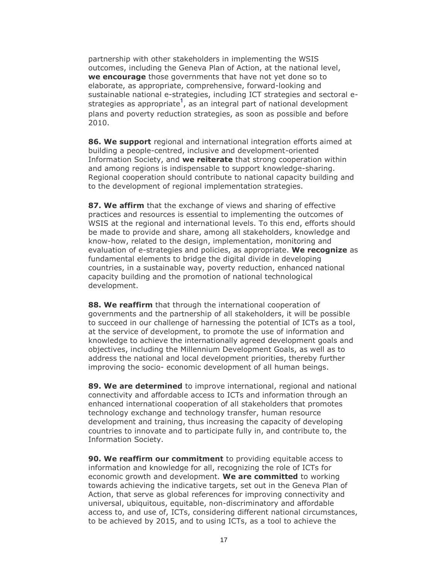partnership with other stakeholders in implementing the WSIS outcomes, including the Geneva Plan of Action, at the national level, **we encourage** those governments that have not yet done so to elaborate, as appropriate, comprehensive, forward-looking and sustainable national e-strategies, including ICT strategies and sectoral e-strategies as appropriate<sup>[1](http://www.itu.int/wsis/docs2/tunis/off/6rev1.html#note2)</sup>, as an integral part of national development plans and poverty reduction strategies, as soon as possible and before 2010.

**86. We support** regional and international integration efforts aimed at building a people-centred, inclusive and development-oriented Information Society, and **we reiterate** that strong cooperation within and among regions is indispensable to support knowledge-sharing. Regional cooperation should contribute to national capacity building and to the development of regional implementation strategies.

**87. We affirm** that the exchange of views and sharing of effective practices and resources is essential to implementing the outcomes of WSIS at the regional and international levels. To this end, efforts should be made to provide and share, among all stakeholders, knowledge and know-how, related to the design, implementation, monitoring and evaluation of e-strategies and policies, as appropriate. **We recognize** as fundamental elements to bridge the digital divide in developing countries, in a sustainable way, poverty reduction, enhanced national capacity building and the promotion of national technological development.

**88. We reaffirm** that through the international cooperation of governments and the partnership of all stakeholders, it will be possible to succeed in our challenge of harnessing the potential of ICTs as a tool, at the service of development, to promote the use of information and knowledge to achieve the internationally agreed development goals and objectives, including the Millennium Development Goals, as well as to address the national and local development priorities, thereby further improving the socio- economic development of all human beings.

**89. We are determined** to improve international, regional and national connectivity and affordable access to ICTs and information through an enhanced international cooperation of all stakeholders that promotes technology exchange and technology transfer, human resource development and training, thus increasing the capacity of developing countries to innovate and to participate fully in, and contribute to, the Information Society.

**90. We reaffirm our commitment** to providing equitable access to information and knowledge for all, recognizing the role of ICTs for economic growth and development. **We are committed** to working towards achieving the indicative targets, set out in the Geneva Plan of Action, that serve as global references for improving connectivity and universal, ubiquitous, equitable, non-discriminatory and affordable access to, and use of, ICTs, considering different national circumstances, to be achieved by 2015, and to using ICTs, as a tool to achieve the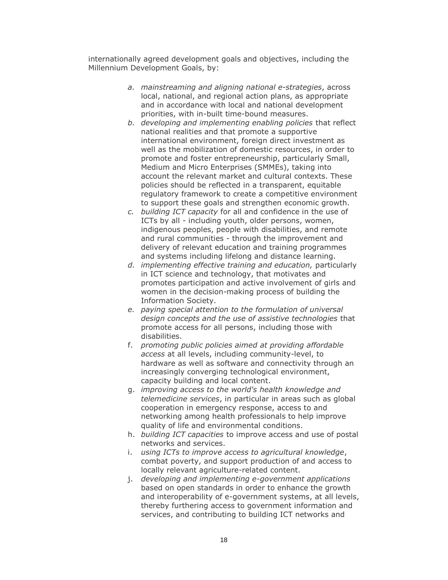internationally agreed development goals and objectives, including the Millennium Development Goals, by:

- *a. mainstreaming and aligning national e-strategies*, across local, national, and regional action plans, as appropriate and in accordance with local and national development priorities, with in-built time-bound measures.
- *b. developing and implementing enabling policies* that reflect national realities and that promote a supportive international environment, foreign direct investment as well as the mobilization of domestic resources, in order to promote and foster entrepreneurship, particularly Small, Medium and Micro Enterprises (SMMEs), taking into account the relevant market and cultural contexts. These policies should be reflected in a transparent, equitable regulatory framework to create a competitive environment to support these goals and strengthen economic growth.
- *c. building ICT capacity* for all and confidence in the use of ICTs by all - including youth, older persons, women, indigenous peoples, people with disabilities, and remote and rural communities - through the improvement and delivery of relevant education and training programmes and systems including lifelong and distance learning.
- *d. implementing effective training and education,* particularly in ICT science and technology, that motivates and promotes participation and active involvement of girls and women in the decision-making process of building the Information Society.
- *e. paying special attention to the formulation of universal design concepts and the use of assistive technologies* that promote access for all persons, including those with disabilities.
- f. *promoting public policies aimed at providing affordable access* at all levels, including community-level, to hardware as well as software and connectivity through an increasingly converging technological environment, capacity building and local content.
- g. *improving access to the world's health knowledge and telemedicine services*, in particular in areas such as global cooperation in emergency response, access to and networking among health professionals to help improve quality of life and environmental conditions.
- h. *building ICT capacities* to improve access and use of postal networks and services.
- i. *using ICTs to improve access to agricultural knowledge*, combat poverty, and support production of and access to locally relevant agriculture-related content.
- j. *developing and implementing e-government applications* based on open standards in order to enhance the growth and interoperability of e-government systems, at all levels, thereby furthering access to government information and services, and contributing to building ICT networks and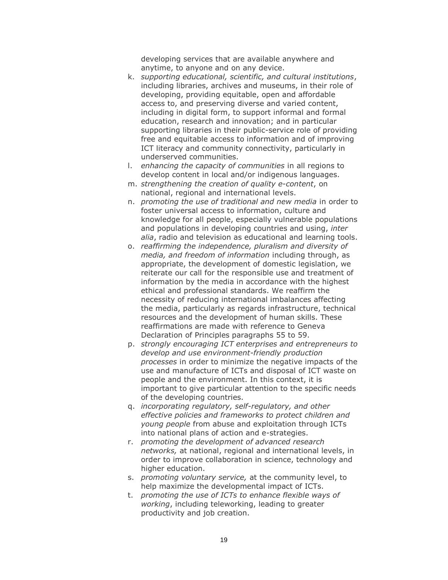developing services that are available anywhere and anytime, to anyone and on any device.

- k. *supporting educational, scientific, and cultural institutions*, including libraries, archives and museums, in their role of developing, providing equitable, open and affordable access to, and preserving diverse and varied content, including in digital form, to support informal and formal education, research and innovation; and in particular supporting libraries in their public-service role of providing free and equitable access to information and of improving ICT literacy and community connectivity, particularly in underserved communities.
- l. *enhancing the capacity of communities* in all regions to develop content in local and/or indigenous languages.
- m. *strengthening the creation of quality e-content*, on national, regional and international levels.
- n. *promoting the use of traditional and new media* in order to foster universal access to information, culture and knowledge for all people, especially vulnerable populations and populations in developing countries and using, *inter alia*, radio and television as educational and learning tools.
- o. *reaffirming the independence, pluralism and diversity of media, and freedom of information* including through, as appropriate, the development of domestic legislation, we reiterate our call for the responsible use and treatment of information by the media in accordance with the highest ethical and professional standards. We reaffirm the necessity of reducing international imbalances affecting the media, particularly as regards infrastructure, technical resources and the development of human skills. These reaffirmations are made with reference to Geneva Declaration of Principles paragraphs 55 to 59.
- p. *strongly encouraging ICT enterprises and entrepreneurs to develop and use environment-friendly production processes* in order to minimize the negative impacts of the use and manufacture of ICTs and disposal of ICT waste on people and the environment. In this context, it is important to give particular attention to the specific needs of the developing countries.
- q. *incorporating regulatory, self-regulatory, and other effective policies and frameworks to protect children and young people* from abuse and exploitation through ICTs into national plans of action and e-strategies.
- r. *promoting the development of advanced research networks,* at national, regional and international levels, in order to improve collaboration in science, technology and higher education.
- s. *promoting voluntary service,* at the community level, to help maximize the developmental impact of ICTs.
- t. *promoting the use of ICTs to enhance flexible ways of working*, including teleworking, leading to greater productivity and job creation.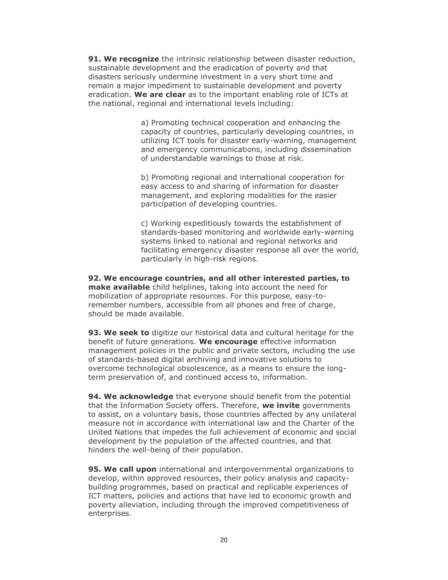**91. We recognize** the intrinsic relationship between disaster reduction, sustainable development and the eradication of poverty and that disasters seriously undermine investment in a very short time and remain a major impediment to sustainable development and poverty eradication. **We are clear** as to the important enabling role of ICTs at the national, regional and international levels including:

> a) Promoting technical cooperation and enhancing the capacity of countries, particularly developing countries, in utilizing ICT tools for disaster early-warning, management and emergency communications, including dissemination of understandable warnings to those at risk.

b) Promoting regional and international cooperation for easy access to and sharing of information for disaster management, and exploring modalities for the easier participation of developing countries.

c) Working expeditiously towards the establishment of standards-based monitoring and worldwide early-warning systems linked to national and regional networks and facilitating emergency disaster response all over the world, particularly in high-risk regions.

**92. We encourage countries, and all other interested parties, to make available** child helplines, taking into account the need for mobilization of appropriate resources. For this purpose, easy-toremember numbers, accessible from all phones and free of charge, should be made available.

**93. We seek to** digitize our historical data and cultural heritage for the benefit of future generations. **We encourage** effective information management policies in the public and private sectors, including the use of standards-based digital archiving and innovative solutions to overcome technological obsolescence, as a means to ensure the longterm preservation of, and continued access to, information.

**94. We acknowledge** that everyone should benefit from the potential that the Information Society offers. Therefore, **we invite** governments to assist, on a voluntary basis, those countries affected by any unilateral measure not in accordance with international law and the Charter of the United Nations that impedes the full achievement of economic and social development by the population of the affected countries, and that hinders the well-being of their population.

**95. We call upon** international and intergovernmental organizations to develop, within approved resources, their policy analysis and capacitybuilding programmes, based on practical and replicable experiences of ICT matters, policies and actions that have led to economic growth and poverty alleviation, including through the improved competitiveness of enterprises.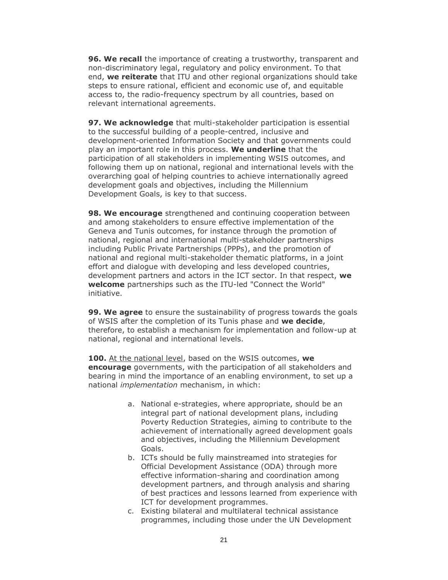**96. We recall** the importance of creating a trustworthy, transparent and non-discriminatory legal, regulatory and policy environment. To that end, **we reiterate** that ITU and other regional organizations should take steps to ensure rational, efficient and economic use of, and equitable access to, the radio-frequency spectrum by all countries, based on relevant international agreements.

**97. We acknowledge** that multi-stakeholder participation is essential to the successful building of a people-centred, inclusive and development-oriented Information Society and that governments could play an important role in this process. **We underline** that the participation of all stakeholders in implementing WSIS outcomes, and following them up on national, regional and international levels with the overarching goal of helping countries to achieve internationally agreed development goals and objectives, including the Millennium Development Goals, is key to that success.

**98. We encourage** strengthened and continuing cooperation between and among stakeholders to ensure effective implementation of the Geneva and Tunis outcomes, for instance through the promotion of national, regional and international multi-stakeholder partnerships including Public Private Partnerships (PPPs), and the promotion of national and regional multi-stakeholder thematic platforms, in a joint effort and dialogue with developing and less developed countries, development partners and actors in the ICT sector. In that respect, **we welcome** partnerships such as the ITU-led "Connect the World" initiative.

**99. We agree** to ensure the sustainability of progress towards the goals of WSIS after the completion of its Tunis phase and **we decide**, therefore, to establish a mechanism for implementation and follow-up at national, regional and international levels.

**100.** At the national level, based on the WSIS outcomes, **we encourage** governments, with the participation of all stakeholders and bearing in mind the importance of an enabling environment, to set up a national *implementation* mechanism, in which:

- a. National e-strategies, where appropriate, should be an integral part of national development plans, including Poverty Reduction Strategies, aiming to contribute to the achievement of internationally agreed development goals and objectives, including the Millennium Development Goals.
- b. ICTs should be fully mainstreamed into strategies for Official Development Assistance (ODA) through more effective information-sharing and coordination among development partners, and through analysis and sharing of best practices and lessons learned from experience with ICT for development programmes.
- c. Existing bilateral and multilateral technical assistance programmes, including those under the UN Development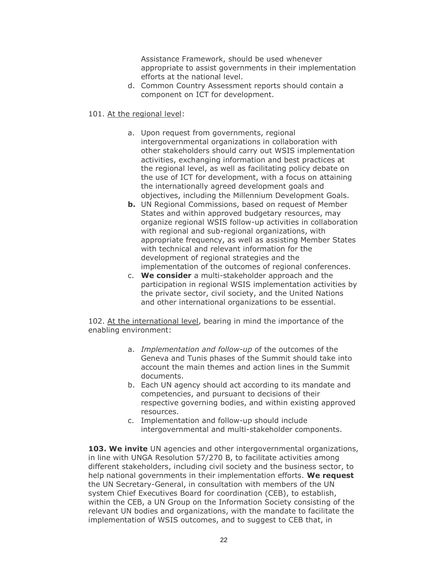Assistance Framework, should be used whenever appropriate to assist governments in their implementation efforts at the national level.

d. Common Country Assessment reports should contain a component on ICT for development.

#### 101. At the regional level:

- a. Upon request from governments, regional intergovernmental organizations in collaboration with other stakeholders should carry out WSIS implementation activities, exchanging information and best practices at the regional level, as well as facilitating policy debate on the use of ICT for development, with a focus on attaining the internationally agreed development goals and objectives, including the Millennium Development Goals.
- **b.** UN Regional Commissions, based on request of Member States and within approved budgetary resources, may organize regional WSIS follow-up activities in collaboration with regional and sub-regional organizations, with appropriate frequency, as well as assisting Member States with technical and relevant information for the development of regional strategies and the implementation of the outcomes of regional conferences.
- c. **We consider** a multi-stakeholder approach and the participation in regional WSIS implementation activities by the private sector, civil society, and the United Nations and other international organizations to be essential.

102. At the international level, bearing in mind the importance of the enabling environment:

- a. *Implementation and follow-up* of the outcomes of the Geneva and Tunis phases of the Summit should take into account the main themes and action lines in the Summit documents.
- b. Each UN agency should act according to its mandate and competencies, and pursuant to decisions of their respective governing bodies, and within existing approved resources.
- c. Implementation and follow-up should include intergovernmental and multi-stakeholder components.

**103. We invite** UN agencies and other intergovernmental organizations, in line with UNGA Resolution 57/270 B, to facilitate activities among different stakeholders, including civil society and the business sector, to help national governments in their implementation efforts. **We request** the UN Secretary-General, in consultation with members of the UN system Chief Executives Board for coordination (CEB), to establish, within the CEB, a UN Group on the Information Society consisting of the relevant UN bodies and organizations, with the mandate to facilitate the implementation of WSIS outcomes, and to suggest to CEB that, in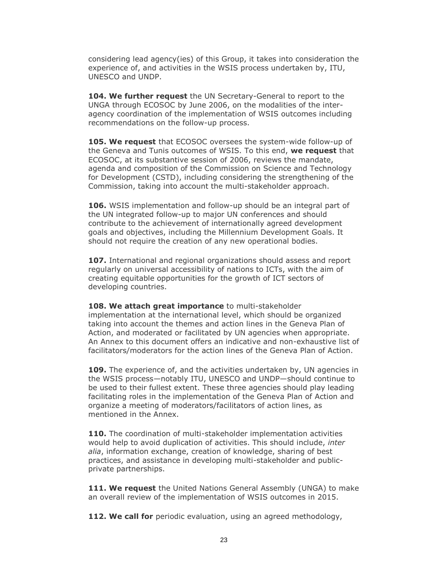considering lead agency(ies) of this Group, it takes into consideration the experience of, and activities in the WSIS process undertaken by, ITU, UNESCO and UNDP.

**104. We further request** the UN Secretary-General to report to the UNGA through ECOSOC by June 2006, on the modalities of the interagency coordination of the implementation of WSIS outcomes including recommendations on the follow-up process.

**105. We request** that ECOSOC oversees the system-wide follow-up of the Geneva and Tunis outcomes of WSIS. To this end, **we request** that ECOSOC, at its substantive session of 2006, reviews the mandate, agenda and composition of the Commission on Science and Technology for Development (CSTD), including considering the strengthening of the Commission, taking into account the multi-stakeholder approach.

**106.** WSIS implementation and follow-up should be an integral part of the UN integrated follow-up to major UN conferences and should contribute to the achievement of internationally agreed development goals and objectives, including the Millennium Development Goals. It should not require the creation of any new operational bodies.

**107.** International and regional organizations should assess and report regularly on universal accessibility of nations to ICTs, with the aim of creating equitable opportunities for the growth of ICT sectors of developing countries.

**108. We attach great importance** to multi-stakeholder implementation at the international level, which should be organized taking into account the themes and action lines in the Geneva Plan of Action, and moderated or facilitated by UN agencies when appropriate. An Annex to this document offers an indicative and non-exhaustive list of facilitators/moderators for the action lines of the Geneva Plan of Action.

**109.** The experience of, and the activities undertaken by, UN agencies in the WSIS process—notably ITU, UNESCO and UNDP—should continue to be used to their fullest extent. These three agencies should play leading facilitating roles in the implementation of the Geneva Plan of Action and organize a meeting of moderators/facilitators of action lines, as mentioned in the Annex.

**110.** The coordination of multi-stakeholder implementation activities would help to avoid duplication of activities. This should include, *inter alia*, information exchange, creation of knowledge, sharing of best practices, and assistance in developing multi-stakeholder and publicprivate partnerships.

**111. We request** the United Nations General Assembly (UNGA) to make an overall review of the implementation of WSIS outcomes in 2015.

**112. We call for** periodic evaluation, using an agreed methodology,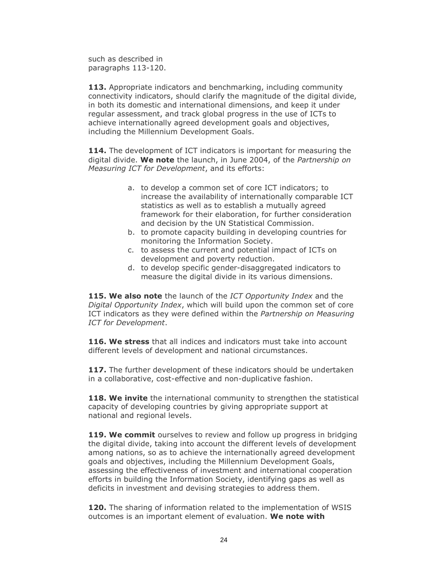such as described in paragraphs 113-120.

**113.** Appropriate indicators and benchmarking, including community connectivity indicators, should clarify the magnitude of the digital divide, in both its domestic and international dimensions, and keep it under regular assessment, and track global progress in the use of ICTs to achieve internationally agreed development goals and objectives, including the Millennium Development Goals.

**114.** The development of ICT indicators is important for measuring the digital divide. **We note** the launch, in June 2004, of the *Partnership on Measuring ICT for Development*, and its efforts:

- a. to develop a common set of core ICT indicators; to increase the availability of internationally comparable ICT statistics as well as to establish a mutually agreed framework for their elaboration, for further consideration and decision by the UN Statistical Commission.
- b. to promote capacity building in developing countries for monitoring the Information Society.
- c. to assess the current and potential impact of ICTs on development and poverty reduction.
- d. to develop specific gender-disaggregated indicators to measure the digital divide in its various dimensions.

**115. We also note** the launch of the *ICT Opportunity Index* and the *Digital Opportunity Index*, which will build upon the common set of core ICT indicators as they were defined within the *Partnership on Measuring ICT for Development*.

**116. We stress** that all indices and indicators must take into account different levels of development and national circumstances.

117. The further development of these indicators should be undertaken in a collaborative, cost-effective and non-duplicative fashion.

**118. We invite** the international community to strengthen the statistical capacity of developing countries by giving appropriate support at national and regional levels.

**119. We commit** ourselves to review and follow up progress in bridging the digital divide, taking into account the different levels of development among nations, so as to achieve the internationally agreed development goals and objectives, including the Millennium Development Goals, assessing the effectiveness of investment and international cooperation efforts in building the Information Society, identifying gaps as well as deficits in investment and devising strategies to address them.

**120.** The sharing of information related to the implementation of WSIS outcomes is an important element of evaluation. **We note with**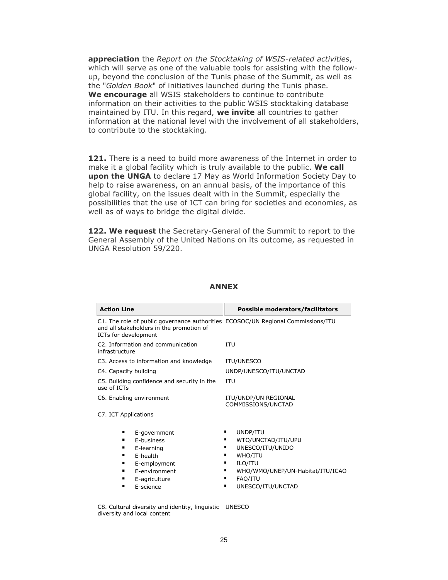**appreciation** the *Report on the Stocktaking of WSIS-related activities*, which will serve as one of the valuable tools for assisting with the followup, beyond the conclusion of the Tunis phase of the Summit, as well as the "*Golden Book*" of initiatives launched during the Tunis phase. **We encourage** all WSIS stakeholders to continue to contribute information on their activities to the public WSIS stocktaking database maintained by ITU. In this regard, **we invite** all countries to gather information at the national level with the involvement of all stakeholders, to contribute to the stocktaking.

**121.** There is a need to build more awareness of the Internet in order to make it a global facility which is truly available to the public. **We call upon the UNGA** to declare 17 May as World Information Society Day to help to raise awareness, on an annual basis, of the importance of this global facility, on the issues dealt with in the Summit, especially the possibilities that the use of ICT can bring for societies and economies, as well as of ways to bridge the digital divide.

**122. We request** the Secretary-General of the Summit to report to the General Assembly of the United Nations on its outcome, as requested in UNGA Resolution 59/220.

| <b>Action Line</b>                                                                                                                                   | Possible moderators/facilitators                                                                                                                                                     |
|------------------------------------------------------------------------------------------------------------------------------------------------------|--------------------------------------------------------------------------------------------------------------------------------------------------------------------------------------|
| C1. The role of public governance authorities ECOSOC/UN Regional Commissions/ITU<br>and all stakeholders in the promotion of<br>ICTs for development |                                                                                                                                                                                      |
| C2. Information and communication<br>infrastructure                                                                                                  | <b>ITU</b>                                                                                                                                                                           |
| C3. Access to information and knowledge                                                                                                              | <b>ITU/UNESCO</b>                                                                                                                                                                    |
| C4. Capacity building                                                                                                                                | UNDP/UNESCO/ITU/UNCTAD                                                                                                                                                               |
| C5. Building confidence and security in the<br>use of ICTs                                                                                           | <b>ITU</b>                                                                                                                                                                           |
| C6. Enabling environment                                                                                                                             | ITU/UNDP/UN REGIONAL<br>COMMISSIONS/UNCTAD                                                                                                                                           |
| C7. ICT Applications                                                                                                                                 |                                                                                                                                                                                      |
| E-government<br>E-business<br>E-learning<br>٠<br>F-health<br>٠<br>E-employment<br>٠<br>E-environment<br>٠<br>E-agriculture<br>٠<br>E-science         | UNDP/ITU<br>٠<br>WTO/UNCTAD/ITU/UPU<br>٠<br>UNESCO/ITU/UNIDO<br>٠<br>WHO/ITU<br>٠<br>ILO/ITU<br>٠<br>WHO/WMO/UNEP/UN-Habitat/ITU/ICAO<br>٠<br>FAO/ITU<br>٠<br>UNESCO/ITU/UNCTAD<br>٠ |

### **ANNEX**

C8. Cultural diversity and identity, linguistic UNESCOdiversity and local content